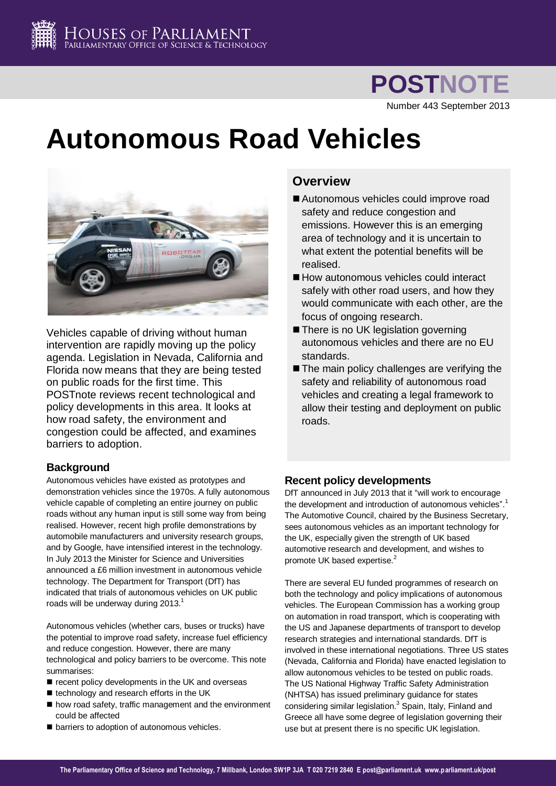

Number 443 September 2013

# **Autonomous Road Vehicles**



Vehicles capable of driving without human intervention are rapidly moving up the policy agenda. Legislation in Nevada, California and Florida now means that they are being tested on public roads for the first time. This POSTnote reviews recent technological and policy developments in this area. It looks at how road safety, the environment and congestion could be affected, and examines barriers to adoption.

# **Background**

Autonomous vehicles have existed as prototypes and demonstration vehicles since the 1970s. A fully autonomous vehicle capable of completing an entire journey on public roads without any human input is still some way from being realised. However, recent high profile demonstrations by automobile manufacturers and university research groups, and by Google, have intensified interest in the technology. In July 2013 the Minister for Science and Universities announced a £6 million investment in autonomous vehicle technology. The Department for Transport (DfT) has indicated that trials of autonomous vehicles on UK public roads will be underway during 2013. $<sup>1</sup>$ </sup>

Autonomous vehicles (whether cars, buses or trucks) have the potential to improve road safety, increase fuel efficiency and reduce congestion. However, there are many technological and policy barriers to be overcome. This note summarises:

- recent policy developments in the UK and overseas
- $\blacksquare$  technology and research efforts in the UK
- how road safety, traffic management and the environment could be affected
- $\blacksquare$  barriers to adoption of autonomous vehicles.

# **Overview**

- Autonomous vehicles could improve road safety and reduce congestion and emissions. However this is an emerging area of technology and it is uncertain to what extent the potential benefits will be realised.
- How autonomous vehicles could interact safely with other road users, and how they would communicate with each other, are the focus of ongoing research.
- **There is no UK legislation governing** autonomous vehicles and there are no EU standards.
- The main policy challenges are verifying the safety and reliability of autonomous road vehicles and creating a legal framework to allow their testing and deployment on public roads.

# **Recent policy developments**

DfT announced in July 2013 that it "will work to encourage the development and introduction of autonomous vehicles[".](#page-0-0)<sup>1</sup> The Automotive Council, chaired by the Business Secretary, sees autonomous vehicles as an important technology for the UK, especially given the strength of UK based automotive research and development, and wishes to promote UK based expertise.<sup>2</sup>

<span id="page-0-1"></span><span id="page-0-0"></span>There are several EU funded programmes of research on both the technology and policy implications of autonomous vehicles. The European Commission has a working group on automation in road transport, which is cooperating with the US and Japanese departments of transport to develop research strategies and international standards. DfT is involved in these international negotiations. Three US states (Nevada, California and Florida) have enacted legislation to allow autonomous vehicles to be tested on public roads. The US National Highway Traffic Safety Administration (NHTSA) has issued preliminary guidance for states considering similar legislation.<sup>3</sup> Spain, Italy, Finland and Greece all have some degree of legislation governing their use but at present there is no specific UK legislation.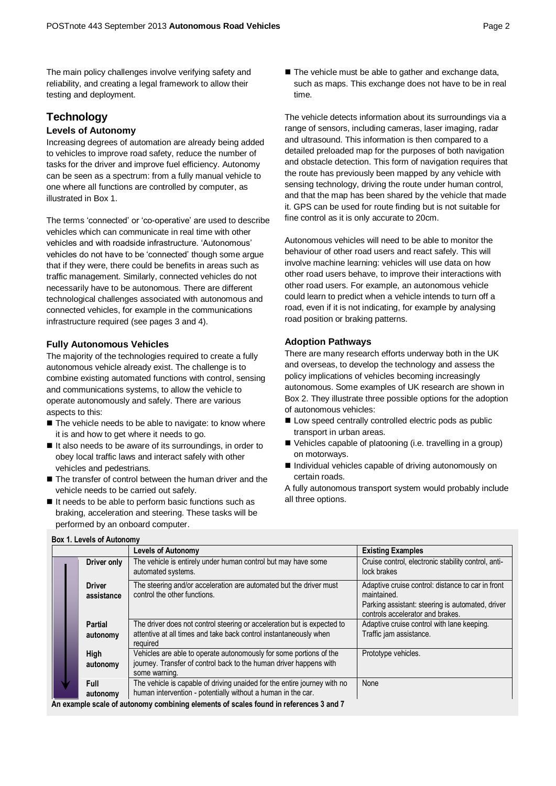The main policy challenges involve verifying safety and reliability, and creating a legal framework to allow their testing and deployment.

# **Technology**

#### **Levels of Autonomy**

Increasing degrees of automation are already being added to vehicles to improve road safety, reduce the number of tasks for the driver and improve fuel efficiency. Autonomy can be seen as a spectrum: from a fully manual vehicle to one where all functions are controlled by computer, as illustrated in Box 1.

The terms 'connected' or 'co-operative' are used to describe vehicles which can communicate in real time with other vehicles and with roadside infrastructure. 'Autonomous' vehicles do not have to be 'connected' though some argue that if they were, there could be benefits in areas such as traffic management. Similarly, connected vehicles do not necessarily have to be autonomous. There are different technological challenges associated with autonomous and connected vehicles, for example in the communications infrastructure required (see pages 3 and 4).

#### **Fully Autonomous Vehicles**

**Box 1. Levels of Autonomy**

The majority of the technologies required to create a fully autonomous vehicle already exist. The challenge is to combine existing automated functions with control, sensing and communications systems, to allow the vehicle to operate autonomously and safely. There are various aspects to this:

- The vehicle needs to be able to navigate: to know where it is and how to get where it needs to go.
- If also needs to be aware of its surroundings, in order to obey local traffic laws and interact safely with other vehicles and pedestrians.
- The transfer of control between the human driver and the vehicle needs to be carried out safely.
- $\blacksquare$  It needs to be able to perform basic functions such as braking, acceleration and steering. These tasks will be performed by an onboard computer.

■ The vehicle must be able to gather and exchange data, such as maps. This exchange does not have to be in real time.

The vehicle detects information about its surroundings via a range of sensors, including cameras, laser imaging, radar and ultrasound. This information is then compared to a detailed preloaded map for the purposes of both navigation and obstacle detection. This form of navigation requires that the route has previously been mapped by any vehicle with sensing technology, driving the route under human control, and that the map has been shared by the vehicle that made it. GPS can be used for route finding but is not suitable for fine control as it is only accurate to 20cm.

Autonomous vehicles will need to be able to monitor the behaviour of other road users and react safely. This will involve machine learning: vehicles will use data on how other road users behave, to improve their interactions with other road users. For example, an autonomous vehicle could learn to predict when a vehicle intends to turn off a road, even if it is not indicating, for example by analysing road position or braking patterns.

#### **Adoption Pathways**

There are many research efforts underway both in the UK and overseas, to develop the technology and assess the policy implications of vehicles becoming increasingly autonomous. Some examples of UK research are shown in Box 2. They illustrate three possible options for the adoption of autonomous vehicles:

- Low speed centrally controlled electric pods as public transport in urban areas.
- Vehicles capable of platooning (i.e. travelling in a group) on motorways.
- Individual vehicles capable of driving autonomously on certain roads.
- A fully autonomous transport system would probably include all three options.

|                             | <b>Levels of Autonomy</b>                                                                                                                                                                                                         | <b>Existing Examples</b>                                                                                                                                 |
|-----------------------------|-----------------------------------------------------------------------------------------------------------------------------------------------------------------------------------------------------------------------------------|----------------------------------------------------------------------------------------------------------------------------------------------------------|
| Driver only                 | The vehicle is entirely under human control but may have some<br>automated systems.                                                                                                                                               | Cruise control, electronic stability control, anti-<br>lock brakes                                                                                       |
| <b>Driver</b><br>assistance | The steering and/or acceleration are automated but the driver must<br>control the other functions.                                                                                                                                | Adaptive cruise control: distance to car in front<br>maintained.<br>Parking assistant: steering is automated, driver<br>controls accelerator and brakes. |
| <b>Partial</b><br>autonomy  | The driver does not control steering or acceleration but is expected to<br>attentive at all times and take back control instantaneously when<br>required                                                                          | Adaptive cruise control with lane keeping.<br>Traffic jam assistance.                                                                                    |
| High<br>autonomy            | Vehicles are able to operate autonomously for some portions of the<br>journey. Transfer of control back to the human driver happens with<br>some warning.                                                                         | Prototype vehicles.                                                                                                                                      |
| <b>Full</b><br>autonomy     | The vehicle is capable of driving unaided for the entire journey with no<br>human intervention - potentially without a human in the car.<br>An example scale of autonomy combining elements of scales found in references 3 and 7 | None                                                                                                                                                     |

**An example scale of autonomy combining elements of scales found in reference[s 3](#page-0-1) an[d 7](#page-2-0)**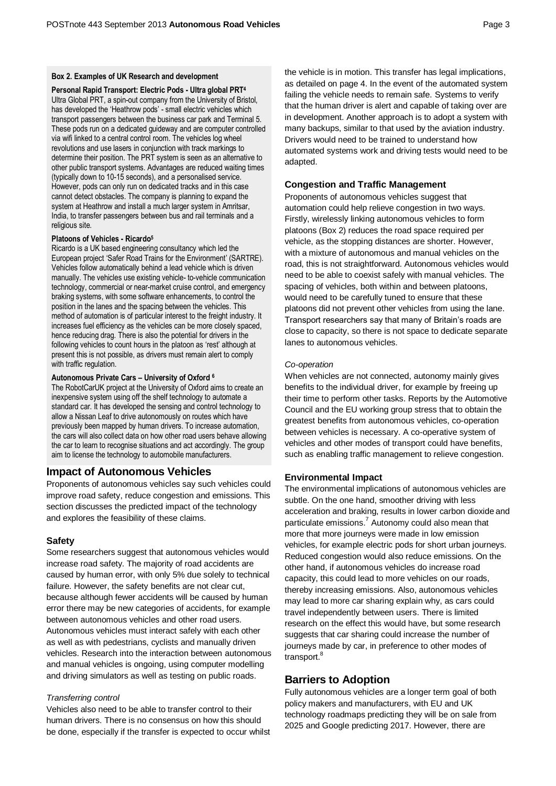#### **Box 2. Examples of UK Research and development**

**Personal Rapid Transport: Electric Pods - Ultra global PRT<sup>4</sup>** Ultra Global PRT, a spin-out company from the University of Bristol, has developed the 'Heathrow pods' - small electric vehicles which transport passengers between the business car park and Terminal 5. These pods run on a dedicated guideway and are computer controlled via wifi linked to a central control room. The vehicles log wheel revolutions and use lasers in conjunction with track markings to determine their position. The PRT system is seen as an alternative to other public transport systems. Advantages are reduced waiting times (typically down to 10-15 seconds), and a personalised service. However, pods can only run on dedicated tracks and in this case cannot detect obstacles. The company is planning to expand the system at Heathrow and install a much larger system in Amritsar, India, to transfer passengers between bus and rail terminals and a religious site.

#### **Platoons of Vehicles - Ricardo<sup>5</sup>**

Ricardo is a UK based engineering consultancy which led the European project 'Safer Road Trains for the Environment' (SARTRE). Vehicles follow automatically behind a lead vehicle which is driven manually. The vehicles use existing vehicle- to-vehicle communication technology, commercial or near-market cruise control, and emergency braking systems, with some software enhancements, to control the position in the lanes and the spacing between the vehicles. This method of automation is of particular interest to the freight industry. It increases fuel efficiency as the vehicles can be more closely spaced, hence reducing drag. There is also the potential for drivers in the following vehicles to count hours in the platoon as 'rest' although at present this is not possible, as drivers must remain alert to comply with traffic regulation.

#### **Autonomous Private Cars – University of Oxford <sup>6</sup>**

The RobotCarUK project at the University of Oxford aims to create an inexpensive system using off the shelf technology to automate a standard car. It has developed the sensing and control technology to allow a Nissan Leaf to drive autonomously on routes which have previously been mapped by human drivers. To increase automation, the cars will also collect data on how other road users behave allowing the car to learn to recognise situations and act accordingly. The group aim to license the technology to automobile manufacturers.

## **Impact of Autonomous Vehicles**

Proponents of autonomous vehicles say such vehicles could improve road safety, reduce congestion and emissions. This section discusses the predicted impact of the technology and explores the feasibility of these claims.

#### **Safety**

Some researchers suggest that autonomous vehicles would increase road safety. The majority of road accidents are caused by human error, with only 5% due solely to technical failure. However, the safety benefits are not clear cut, because although fewer accidents will be caused by human error there may be new categories of accidents, for example between autonomous vehicles and other road users. Autonomous vehicles must interact safely with each other as well as with pedestrians, cyclists and manually driven vehicles. Research into the interaction between autonomous and manual vehicles is ongoing, using computer modelling and driving simulators as well as testing on public roads.

#### *Transferring control*

Vehicles also need to be able to transfer control to their human drivers. There is no consensus on how this should be done, especially if the transfer is expected to occur whilst the vehicle is in motion. This transfer has legal implications, as detailed on page 4. In the event of the automated system failing the vehicle needs to remain safe. Systems to verify that the human driver is alert and capable of taking over are in development. Another approach is to adopt a system with many backups, similar to that used by the aviation industry. Drivers would need to be trained to understand how automated systems work and driving tests would need to be adapted.

# **Congestion and Traffic Management**

Proponents of autonomous vehicles suggest that automation could help relieve congestion in two ways. Firstly, wirelessly linking autonomous vehicles to form platoons (Box 2) reduces the road space required per vehicle, as the stopping distances are shorter. However, with a mixture of autonomous and manual vehicles on the road, this is not straightforward. Autonomous vehicles would need to be able to coexist safely with manual vehicles. The spacing of vehicles, both within and between platoons, would need to be carefully tuned to ensure that these platoons did not prevent other vehicles from using the lane. Transport researchers say that many of Britain's roads are close to capacity, so there is not space to dedicate separate lanes to autonomous vehicles.

#### *Co-operation*

When vehicles are not connected, autonomy mainly gives benefits to the individual driver, for example by freeing up their time to perform other tasks. Reports by the Automotive Council and the EU working group stress that to obtain the greatest benefits from autonomous vehicles, co-operation between vehicles is necessary. A co-operative system of vehicles and other modes of transport could have benefits, such as enabling traffic management to relieve congestion.

## **Environmental Impact**

<span id="page-2-0"></span>The environmental implications of autonomous vehicles are subtle. On the one hand, smoother driving with less acceleration and braking, results in lower carbon dioxide and particulate emissions.<sup>7</sup> Autonomy could also mean that more that more journeys were made in low emission vehicles, for example electric pods for short urban journeys. Reduced congestion would also reduce emissions. On the other hand, if autonomous vehicles do increase road capacity, this could lead to more vehicles on our roads, thereby increasing emissions. Also, autonomous vehicles may lead to more car sharing explain why, as cars could travel independently between users. There is limited research on the effect this would have, but some research suggests that car sharing could increase the number of journeys made by car, in preference to other modes of transport.<sup>8</sup>

# **Barriers to Adoption**

Fully autonomous vehicles are a longer term goal of both policy makers and manufacturers, with EU and UK technology roadmaps predicting they will be on sale from 2025 and Google predicting 2017. However, there are